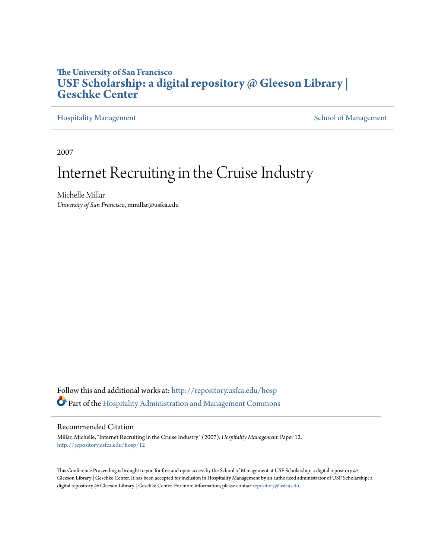## **The University of San Francisco [USF Scholarship: a digital repository @ Gleeson Library |](http://repository.usfca.edu?utm_source=repository.usfca.edu%2Fhosp%2F12&utm_medium=PDF&utm_campaign=PDFCoverPages) [Geschke Center](http://repository.usfca.edu?utm_source=repository.usfca.edu%2Fhosp%2F12&utm_medium=PDF&utm_campaign=PDFCoverPages)**

[Hospitality Management](http://repository.usfca.edu/hosp?utm_source=repository.usfca.edu%2Fhosp%2F12&utm_medium=PDF&utm_campaign=PDFCoverPages) National [School of Management](http://repository.usfca.edu/management?utm_source=repository.usfca.edu%2Fhosp%2F12&utm_medium=PDF&utm_campaign=PDFCoverPages) School of Management School of Management School of Management

2007

# Internet Recruiting in the Cruise Industry

Michelle Millar *University of San Francisco*, mmillar@usfca.edu

Follow this and additional works at: [http://repository.usfca.edu/hosp](http://repository.usfca.edu/hosp?utm_source=repository.usfca.edu%2Fhosp%2F12&utm_medium=PDF&utm_campaign=PDFCoverPages) Part of the [Hospitality Administration and Management Commons](http://network.bepress.com/hgg/discipline/632?utm_source=repository.usfca.edu%2Fhosp%2F12&utm_medium=PDF&utm_campaign=PDFCoverPages)

#### Recommended Citation

Millar, Michelle, "Internet Recruiting in the Cruise Industry" (2007). *Hospitality Management.* Paper 12. [http://repository.usfca.edu/hosp/12](http://repository.usfca.edu/hosp/12?utm_source=repository.usfca.edu%2Fhosp%2F12&utm_medium=PDF&utm_campaign=PDFCoverPages)

This Conference Proceeding is brought to you for free and open access by the School of Management at USF Scholarship: a digital repository @ Gleeson Library | Geschke Center. It has been accepted for inclusion in Hospitality Management by an authorized administrator of USF Scholarship: a digital repository @ Gleeson Library | Geschke Center. For more information, please contact [repository@usfca.edu](mailto:repository@usfca.edu).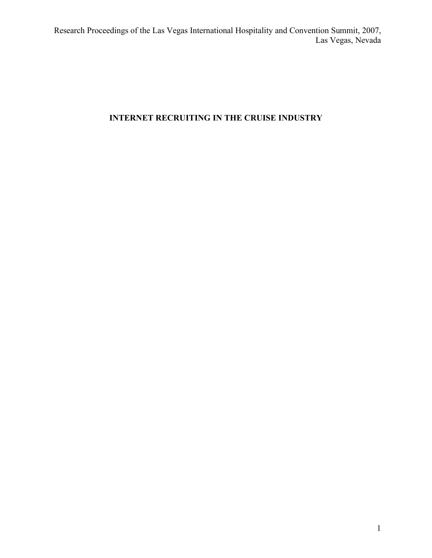## **INTERNET RECRUITING IN THE CRUISE INDUSTRY**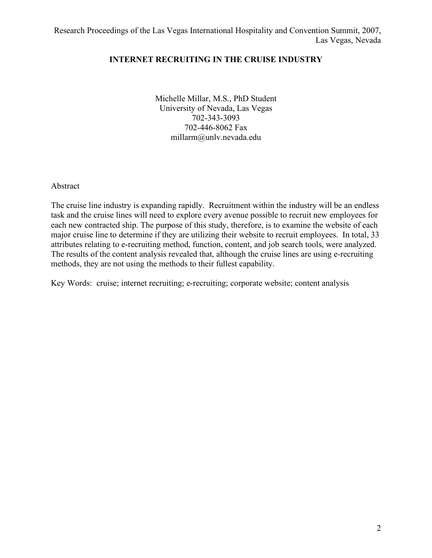## **INTERNET RECRUITING IN THE CRUISE INDUSTRY**

Michelle Millar, M.S., PhD Student University of Nevada, Las Vegas 702-343-3093 702-446-8062 Fax millarm@unlv.nevada.edu

Abstract

The cruise line industry is expanding rapidly. Recruitment within the industry will be an endless task and the cruise lines will need to explore every avenue possible to recruit new employees for each new contracted ship. The purpose of this study, therefore, is to examine the website of each major cruise line to determine if they are utilizing their website to recruit employees. In total, 33 attributes relating to e-recruiting method, function, content, and job search tools, were analyzed. The results of the content analysis revealed that, although the cruise lines are using e-recruiting methods, they are not using the methods to their fullest capability.

Key Words: cruise; internet recruiting; e-recruiting; corporate website; content analysis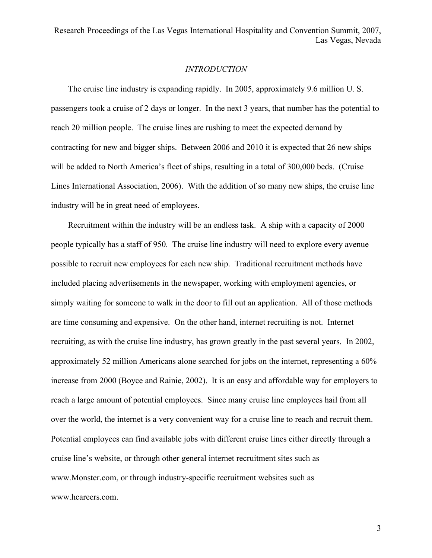#### *INTRODUCTION*

 The cruise line industry is expanding rapidly. In 2005, approximately 9.6 million U. S. passengers took a cruise of 2 days or longer. In the next 3 years, that number has the potential to reach 20 million people. The cruise lines are rushing to meet the expected demand by contracting for new and bigger ships. Between 2006 and 2010 it is expected that 26 new ships will be added to North America's fleet of ships, resulting in a total of 300,000 beds. (Cruise Lines International Association, 2006). With the addition of so many new ships, the cruise line industry will be in great need of employees.

 Recruitment within the industry will be an endless task. A ship with a capacity of 2000 people typically has a staff of 950. The cruise line industry will need to explore every avenue possible to recruit new employees for each new ship. Traditional recruitment methods have included placing advertisements in the newspaper, working with employment agencies, or simply waiting for someone to walk in the door to fill out an application. All of those methods are time consuming and expensive. On the other hand, internet recruiting is not. Internet recruiting, as with the cruise line industry, has grown greatly in the past several years. In 2002, approximately 52 million Americans alone searched for jobs on the internet, representing a 60% increase from 2000 (Boyce and Rainie, 2002). It is an easy and affordable way for employers to reach a large amount of potential employees. Since many cruise line employees hail from all over the world, the internet is a very convenient way for a cruise line to reach and recruit them. Potential employees can find available jobs with different cruise lines either directly through a cruise line's website, or through other general internet recruitment sites such as www.Monster.com, or through industry-specific recruitment websites such as www.hcareers.com.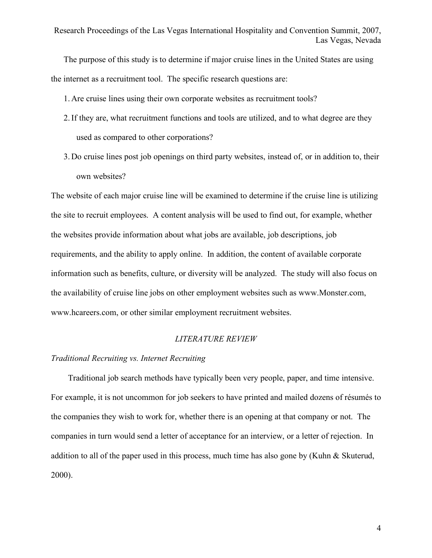The purpose of this study is to determine if major cruise lines in the United States are using the internet as a recruitment tool. The specific research questions are:

1. Are cruise lines using their own corporate websites as recruitment tools?

- 2.If they are, what recruitment functions and tools are utilized, and to what degree are they used as compared to other corporations?
- 3. Do cruise lines post job openings on third party websites, instead of, or in addition to, their own websites?

The website of each major cruise line will be examined to determine if the cruise line is utilizing the site to recruit employees. A content analysis will be used to find out, for example, whether the websites provide information about what jobs are available, job descriptions, job requirements, and the ability to apply online. In addition, the content of available corporate information such as benefits, culture, or diversity will be analyzed. The study will also focus on the availability of cruise line jobs on other employment websites such as www.Monster.com, www.hcareers.com, or other similar employment recruitment websites.

#### *LITERATURE REVIEW*

#### *Traditional Recruiting vs. Internet Recruiting*

Traditional job search methods have typically been very people, paper, and time intensive. For example, it is not uncommon for job seekers to have printed and mailed dozens of résumés to the companies they wish to work for, whether there is an opening at that company or not. The companies in turn would send a letter of acceptance for an interview, or a letter of rejection. In addition to all of the paper used in this process, much time has also gone by (Kuhn & Skuterud, 2000).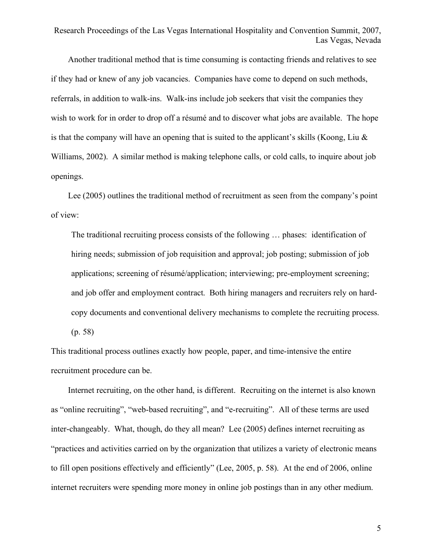Another traditional method that is time consuming is contacting friends and relatives to see if they had or knew of any job vacancies. Companies have come to depend on such methods, referrals, in addition to walk-ins. Walk-ins include job seekers that visit the companies they wish to work for in order to drop off a résumé and to discover what jobs are available. The hope is that the company will have an opening that is suited to the applicant's skills (Koong, Liu  $\&$ Williams, 2002). A similar method is making telephone calls, or cold calls, to inquire about job openings.

 Lee (2005) outlines the traditional method of recruitment as seen from the company's point of view:

The traditional recruiting process consists of the following … phases: identification of hiring needs; submission of job requisition and approval; job posting; submission of job applications; screening of résumé/application; interviewing; pre-employment screening; and job offer and employment contract. Both hiring managers and recruiters rely on hardcopy documents and conventional delivery mechanisms to complete the recruiting process. (p. 58)

This traditional process outlines exactly how people, paper, and time-intensive the entire recruitment procedure can be.

 Internet recruiting, on the other hand, is different. Recruiting on the internet is also known as "online recruiting", "web-based recruiting", and "e-recruiting". All of these terms are used inter-changeably. What, though, do they all mean? Lee (2005) defines internet recruiting as "practices and activities carried on by the organization that utilizes a variety of electronic means to fill open positions effectively and efficiently" (Lee, 2005, p. 58). At the end of 2006, online internet recruiters were spending more money in online job postings than in any other medium.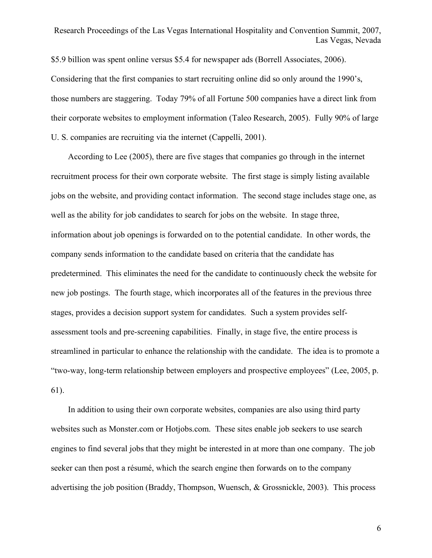\$5.9 billion was spent online versus \$5.4 for newspaper ads (Borrell Associates, 2006). Considering that the first companies to start recruiting online did so only around the 1990's, those numbers are staggering. Today 79% of all Fortune 500 companies have a direct link from their corporate websites to employment information (Taleo Research, 2005). Fully 90% of large U. S. companies are recruiting via the internet (Cappelli, 2001).

 According to Lee (2005), there are five stages that companies go through in the internet recruitment process for their own corporate website. The first stage is simply listing available jobs on the website, and providing contact information. The second stage includes stage one, as well as the ability for job candidates to search for jobs on the website. In stage three, information about job openings is forwarded on to the potential candidate. In other words, the company sends information to the candidate based on criteria that the candidate has predetermined. This eliminates the need for the candidate to continuously check the website for new job postings. The fourth stage, which incorporates all of the features in the previous three stages, provides a decision support system for candidates. Such a system provides selfassessment tools and pre-screening capabilities. Finally, in stage five, the entire process is streamlined in particular to enhance the relationship with the candidate. The idea is to promote a "two-way, long-term relationship between employers and prospective employees" (Lee, 2005, p. 61).

 In addition to using their own corporate websites, companies are also using third party websites such as Monster.com or Hotjobs.com. These sites enable job seekers to use search engines to find several jobs that they might be interested in at more than one company. The job seeker can then post a résumé, which the search engine then forwards on to the company advertising the job position (Braddy, Thompson, Wuensch, & Grossnickle, 2003). This process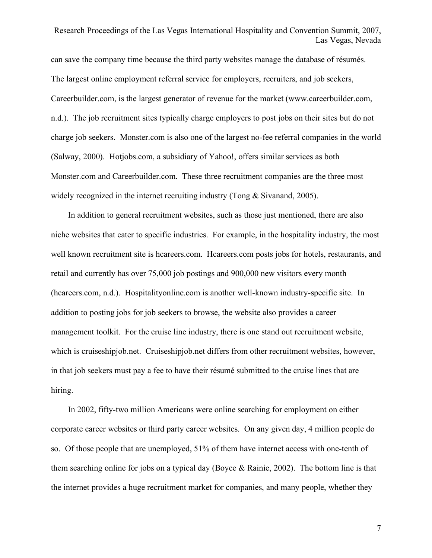can save the company time because the third party websites manage the database of résumés. The largest online employment referral service for employers, recruiters, and job seekers, Careerbuilder.com, is the largest generator of revenue for the market (www.careerbuilder.com, n.d.). The job recruitment sites typically charge employers to post jobs on their sites but do not charge job seekers. Monster.com is also one of the largest no-fee referral companies in the world (Salway, 2000). Hotjobs.com, a subsidiary of Yahoo!, offers similar services as both Monster.com and Careerbuilder.com. These three recruitment companies are the three most widely recognized in the internet recruiting industry (Tong & Sivanand, 2005).

 In addition to general recruitment websites, such as those just mentioned, there are also niche websites that cater to specific industries. For example, in the hospitality industry, the most well known recruitment site is hcareers.com. Hcareers.com posts jobs for hotels, restaurants, and retail and currently has over 75,000 job postings and 900,000 new visitors every month (hcareers.com, n.d.). Hospitalityonline.com is another well-known industry-specific site. In addition to posting jobs for job seekers to browse, the website also provides a career management toolkit. For the cruise line industry, there is one stand out recruitment website, which is cruiseshipjob.net. Cruiseshipjob.net differs from other recruitment websites, however, in that job seekers must pay a fee to have their résumé submitted to the cruise lines that are hiring.

 In 2002, fifty-two million Americans were online searching for employment on either corporate career websites or third party career websites. On any given day, 4 million people do so. Of those people that are unemployed, 51% of them have internet access with one-tenth of them searching online for jobs on a typical day (Boyce & Rainie, 2002). The bottom line is that the internet provides a huge recruitment market for companies, and many people, whether they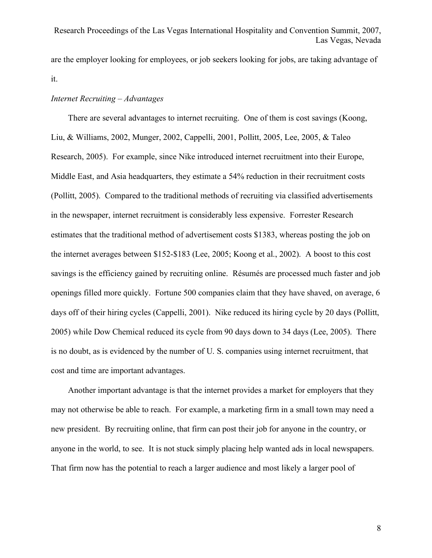are the employer looking for employees, or job seekers looking for jobs, are taking advantage of it.

#### *Internet Recruiting – Advantages*

 There are several advantages to internet recruiting. One of them is cost savings (Koong, Liu, & Williams, 2002, Munger, 2002, Cappelli, 2001, Pollitt, 2005, Lee, 2005, & Taleo Research, 2005). For example, since Nike introduced internet recruitment into their Europe, Middle East, and Asia headquarters, they estimate a 54% reduction in their recruitment costs (Pollitt, 2005). Compared to the traditional methods of recruiting via classified advertisements in the newspaper, internet recruitment is considerably less expensive. Forrester Research estimates that the traditional method of advertisement costs \$1383, whereas posting the job on the internet averages between \$152-\$183 (Lee, 2005; Koong et al., 2002). A boost to this cost savings is the efficiency gained by recruiting online. Résumés are processed much faster and job openings filled more quickly. Fortune 500 companies claim that they have shaved, on average, 6 days off of their hiring cycles (Cappelli, 2001). Nike reduced its hiring cycle by 20 days (Pollitt, 2005) while Dow Chemical reduced its cycle from 90 days down to 34 days (Lee, 2005). There is no doubt, as is evidenced by the number of U. S. companies using internet recruitment, that cost and time are important advantages.

 Another important advantage is that the internet provides a market for employers that they may not otherwise be able to reach. For example, a marketing firm in a small town may need a new president. By recruiting online, that firm can post their job for anyone in the country, or anyone in the world, to see. It is not stuck simply placing help wanted ads in local newspapers. That firm now has the potential to reach a larger audience and most likely a larger pool of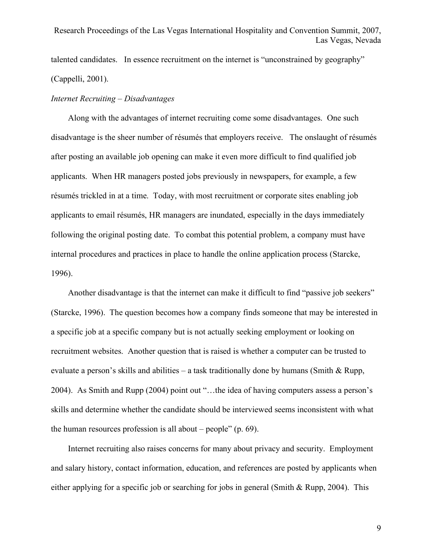talented candidates. In essence recruitment on the internet is "unconstrained by geography" (Cappelli, 2001).

#### *Internet Recruiting – Disadvantages*

 Along with the advantages of internet recruiting come some disadvantages. One such disadvantage is the sheer number of résumés that employers receive. The onslaught of résumés after posting an available job opening can make it even more difficult to find qualified job applicants. When HR managers posted jobs previously in newspapers, for example, a few résumés trickled in at a time. Today, with most recruitment or corporate sites enabling job applicants to email résumés, HR managers are inundated, especially in the days immediately following the original posting date. To combat this potential problem, a company must have internal procedures and practices in place to handle the online application process (Starcke, 1996).

 Another disadvantage is that the internet can make it difficult to find "passive job seekers" (Starcke, 1996). The question becomes how a company finds someone that may be interested in a specific job at a specific company but is not actually seeking employment or looking on recruitment websites. Another question that is raised is whether a computer can be trusted to evaluate a person's skills and abilities – a task traditionally done by humans (Smith & Rupp, 2004). As Smith and Rupp (2004) point out "…the idea of having computers assess a person's skills and determine whether the candidate should be interviewed seems inconsistent with what the human resources profession is all about – people" (p. 69).

 Internet recruiting also raises concerns for many about privacy and security. Employment and salary history, contact information, education, and references are posted by applicants when either applying for a specific job or searching for jobs in general (Smith & Rupp, 2004). This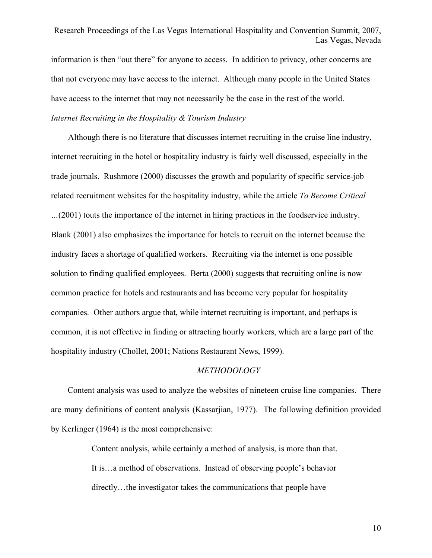information is then "out there" for anyone to access. In addition to privacy, other concerns are that not everyone may have access to the internet. Although many people in the United States have access to the internet that may not necessarily be the case in the rest of the world.

#### *Internet Recruiting in the Hospitality & Tourism Industry*

 Although there is no literature that discusses internet recruiting in the cruise line industry, internet recruiting in the hotel or hospitality industry is fairly well discussed, especially in the trade journals. Rushmore (2000) discusses the growth and popularity of specific service-job related recruitment websites for the hospitality industry, while the article *To Become Critical …*(2001) touts the importance of the internet in hiring practices in the foodservice industry. Blank (2001) also emphasizes the importance for hotels to recruit on the internet because the industry faces a shortage of qualified workers. Recruiting via the internet is one possible solution to finding qualified employees. Berta (2000) suggests that recruiting online is now common practice for hotels and restaurants and has become very popular for hospitality companies. Other authors argue that, while internet recruiting is important, and perhaps is common, it is not effective in finding or attracting hourly workers, which are a large part of the hospitality industry (Chollet, 2001; Nations Restaurant News, 1999).

#### *METHODOLOGY*

 Content analysis was used to analyze the websites of nineteen cruise line companies. There are many definitions of content analysis (Kassarjian, 1977). The following definition provided by Kerlinger (1964) is the most comprehensive:

> Content analysis, while certainly a method of analysis, is more than that. It is…a method of observations. Instead of observing people's behavior directly…the investigator takes the communications that people have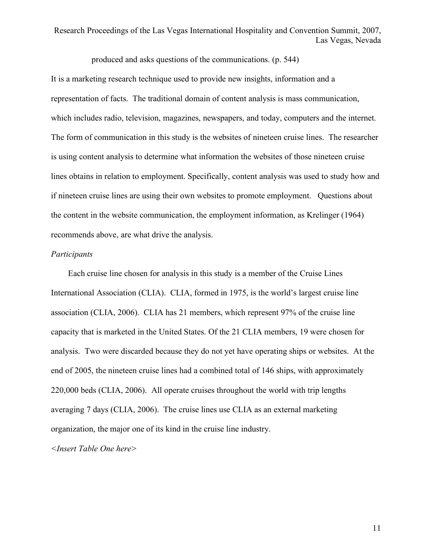produced and asks questions of the communications. (p. 544)

It is a marketing research technique used to provide new insights, information and a representation of facts. The traditional domain of content analysis is mass communication, which includes radio, television, magazines, newspapers, and today, computers and the internet. The form of communication in this study is the websites of nineteen cruise lines. The researcher is using content analysis to determine what information the websites of those nineteen cruise lines obtains in relation to employment. Specifically, content analysis was used to study how and if nineteen cruise lines are using their own websites to promote employment. Questions about the content in the website communication, the employment information, as Krelinger (1964) recommends above, are what drive the analysis.

#### *Participants*

 Each cruise line chosen for analysis in this study is a member of the Cruise Lines International Association (CLIA). CLIA, formed in 1975, is the world's largest cruise line association (CLIA, 2006). CLIA has 21 members, which represent 97% of the cruise line capacity that is marketed in the United States. Of the 21 CLIA members, 19 were chosen for analysis. Two were discarded because they do not yet have operating ships or websites. At the end of 2005, the nineteen cruise lines had a combined total of 146 ships, with approximately 220,000 beds (CLIA, 2006). All operate cruises throughout the world with trip lengths averaging 7 days (CLIA, 2006). The cruise lines use CLIA as an external marketing organization, the major one of its kind in the cruise line industry.

*<Insert Table One here>*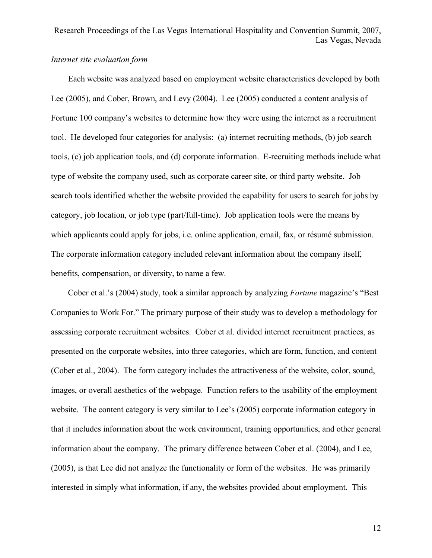### *Internet site evaluation form*

 Each website was analyzed based on employment website characteristics developed by both Lee (2005), and Cober, Brown, and Levy (2004). Lee (2005) conducted a content analysis of Fortune 100 company's websites to determine how they were using the internet as a recruitment tool. He developed four categories for analysis: (a) internet recruiting methods, (b) job search tools, (c) job application tools, and (d) corporate information. E-recruiting methods include what type of website the company used, such as corporate career site, or third party website. Job search tools identified whether the website provided the capability for users to search for jobs by category, job location, or job type (part/full-time). Job application tools were the means by which applicants could apply for jobs, i.e. online application, email, fax, or résumé submission. The corporate information category included relevant information about the company itself, benefits, compensation, or diversity, to name a few.

 Cober et al.'s (2004) study, took a similar approach by analyzing *Fortune* magazine's "Best Companies to Work For." The primary purpose of their study was to develop a methodology for assessing corporate recruitment websites. Cober et al. divided internet recruitment practices, as presented on the corporate websites, into three categories, which are form, function, and content (Cober et al., 2004). The form category includes the attractiveness of the website, color, sound, images, or overall aesthetics of the webpage. Function refers to the usability of the employment website. The content category is very similar to Lee's (2005) corporate information category in that it includes information about the work environment, training opportunities, and other general information about the company. The primary difference between Cober et al. (2004), and Lee, (2005), is that Lee did not analyze the functionality or form of the websites. He was primarily interested in simply what information, if any, the websites provided about employment. This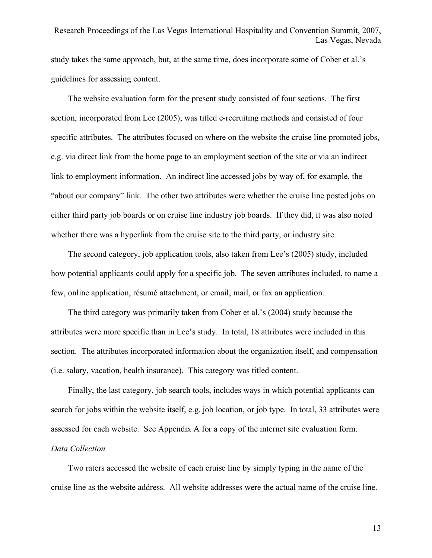study takes the same approach, but, at the same time, does incorporate some of Cober et al.'s guidelines for assessing content.

 The website evaluation form for the present study consisted of four sections. The first section, incorporated from Lee (2005), was titled e-recruiting methods and consisted of four specific attributes. The attributes focused on where on the website the cruise line promoted jobs, e.g. via direct link from the home page to an employment section of the site or via an indirect link to employment information. An indirect line accessed jobs by way of, for example, the "about our company" link. The other two attributes were whether the cruise line posted jobs on either third party job boards or on cruise line industry job boards. If they did, it was also noted whether there was a hyperlink from the cruise site to the third party, or industry site.

 The second category, job application tools, also taken from Lee's (2005) study, included how potential applicants could apply for a specific job. The seven attributes included, to name a few, online application, résumé attachment, or email, mail, or fax an application.

 The third category was primarily taken from Cober et al.'s (2004) study because the attributes were more specific than in Lee's study. In total, 18 attributes were included in this section. The attributes incorporated information about the organization itself, and compensation (i.e. salary, vacation, health insurance). This category was titled content.

 Finally, the last category, job search tools, includes ways in which potential applicants can search for jobs within the website itself, e.g. job location, or job type. In total, 33 attributes were assessed for each website. See Appendix A for a copy of the internet site evaluation form.

#### *Data Collection*

 Two raters accessed the website of each cruise line by simply typing in the name of the cruise line as the website address. All website addresses were the actual name of the cruise line.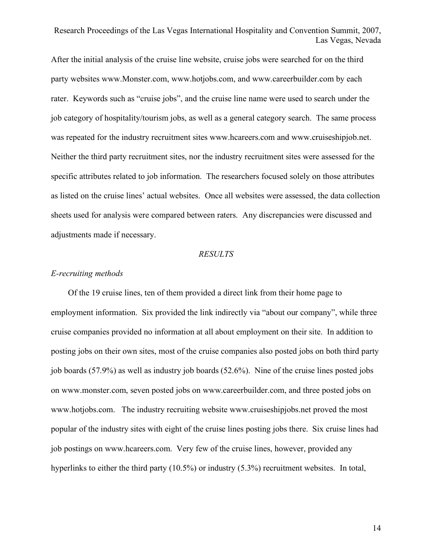After the initial analysis of the cruise line website, cruise jobs were searched for on the third party websites www.Monster.com, www.hotjobs.com, and www.careerbuilder.com by each rater. Keywords such as "cruise jobs", and the cruise line name were used to search under the job category of hospitality/tourism jobs, as well as a general category search. The same process was repeated for the industry recruitment sites www.hcareers.com and www.cruiseshipjob.net. Neither the third party recruitment sites, nor the industry recruitment sites were assessed for the specific attributes related to job information. The researchers focused solely on those attributes as listed on the cruise lines' actual websites. Once all websites were assessed, the data collection sheets used for analysis were compared between raters. Any discrepancies were discussed and adjustments made if necessary.

#### *RESULTS*

#### *E-recruiting methods*

 Of the 19 cruise lines, ten of them provided a direct link from their home page to employment information. Six provided the link indirectly via "about our company", while three cruise companies provided no information at all about employment on their site. In addition to posting jobs on their own sites, most of the cruise companies also posted jobs on both third party job boards (57.9%) as well as industry job boards (52.6%). Nine of the cruise lines posted jobs on www.monster.com, seven posted jobs on www.careerbuilder.com, and three posted jobs on www.hotjobs.com. The industry recruiting website www.cruiseshipjobs.net proved the most popular of the industry sites with eight of the cruise lines posting jobs there. Six cruise lines had job postings on www.hcareers.com. Very few of the cruise lines, however, provided any hyperlinks to either the third party (10.5%) or industry (5.3%) recruitment websites. In total,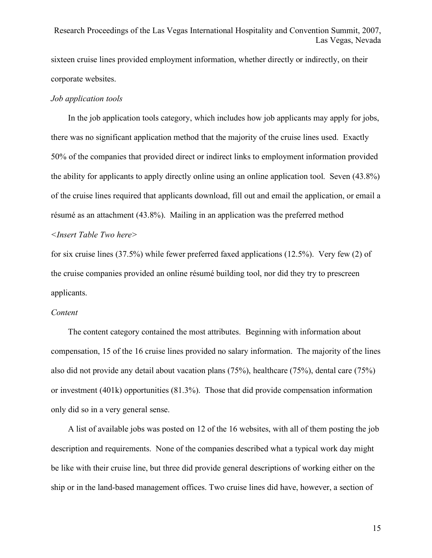sixteen cruise lines provided employment information, whether directly or indirectly, on their corporate websites.

#### *Job application tools*

 In the job application tools category, which includes how job applicants may apply for jobs, there was no significant application method that the majority of the cruise lines used. Exactly 50% of the companies that provided direct or indirect links to employment information provided the ability for applicants to apply directly online using an online application tool. Seven (43.8%) of the cruise lines required that applicants download, fill out and email the application, or email a résumé as an attachment (43.8%). Mailing in an application was the preferred method *<Insert Table Two here>*

for six cruise lines (37.5%) while fewer preferred faxed applications (12.5%). Very few (2) of the cruise companies provided an online résumé building tool, nor did they try to prescreen applicants.

#### *Content*

 The content category contained the most attributes. Beginning with information about compensation, 15 of the 16 cruise lines provided no salary information. The majority of the lines also did not provide any detail about vacation plans (75%), healthcare (75%), dental care (75%) or investment (401k) opportunities (81.3%). Those that did provide compensation information only did so in a very general sense.

 A list of available jobs was posted on 12 of the 16 websites, with all of them posting the job description and requirements. None of the companies described what a typical work day might be like with their cruise line, but three did provide general descriptions of working either on the ship or in the land-based management offices. Two cruise lines did have, however, a section of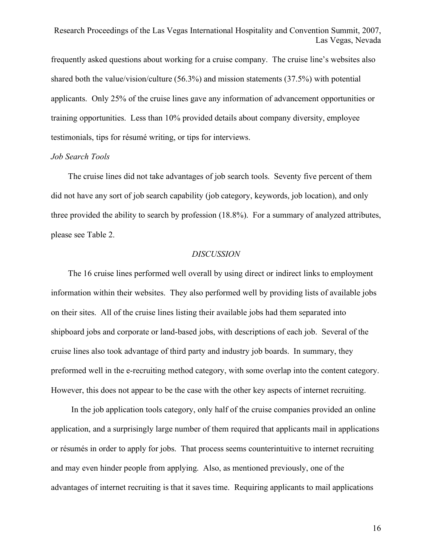frequently asked questions about working for a cruise company. The cruise line's websites also shared both the value/vision/culture (56.3%) and mission statements (37.5%) with potential applicants. Only 25% of the cruise lines gave any information of advancement opportunities or training opportunities. Less than 10% provided details about company diversity, employee testimonials, tips for résumé writing, or tips for interviews.

#### *Job Search Tools*

 The cruise lines did not take advantages of job search tools. Seventy five percent of them did not have any sort of job search capability (job category, keywords, job location), and only three provided the ability to search by profession (18.8%). For a summary of analyzed attributes, please see Table 2.

#### *DISCUSSION*

 The 16 cruise lines performed well overall by using direct or indirect links to employment information within their websites. They also performed well by providing lists of available jobs on their sites. All of the cruise lines listing their available jobs had them separated into shipboard jobs and corporate or land-based jobs, with descriptions of each job. Several of the cruise lines also took advantage of third party and industry job boards. In summary, they preformed well in the e-recruiting method category, with some overlap into the content category. However, this does not appear to be the case with the other key aspects of internet recruiting.

In the job application tools category, only half of the cruise companies provided an online application, and a surprisingly large number of them required that applicants mail in applications or résumés in order to apply for jobs. That process seems counterintuitive to internet recruiting and may even hinder people from applying. Also, as mentioned previously, one of the advantages of internet recruiting is that it saves time. Requiring applicants to mail applications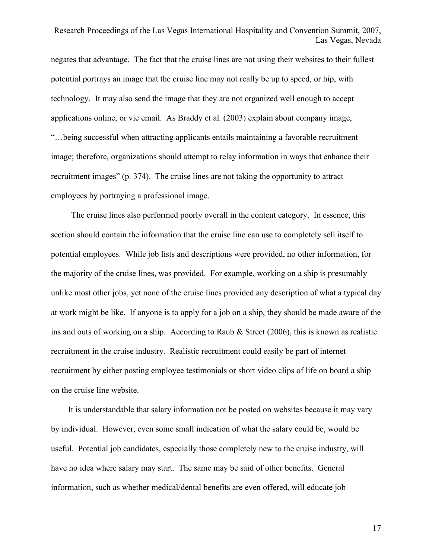negates that advantage. The fact that the cruise lines are not using their websites to their fullest potential portrays an image that the cruise line may not really be up to speed, or hip, with technology. It may also send the image that they are not organized well enough to accept applications online, or vie email. As Braddy et al. (2003) explain about company image, "…being successful when attracting applicants entails maintaining a favorable recruitment image; therefore, organizations should attempt to relay information in ways that enhance their recruitment images" (p. 374). The cruise lines are not taking the opportunity to attract employees by portraying a professional image.

The cruise lines also performed poorly overall in the content category. In essence, this section should contain the information that the cruise line can use to completely sell itself to potential employees. While job lists and descriptions were provided, no other information, for the majority of the cruise lines, was provided. For example, working on a ship is presumably unlike most other jobs, yet none of the cruise lines provided any description of what a typical day at work might be like. If anyone is to apply for a job on a ship, they should be made aware of the ins and outs of working on a ship. According to Raub & Street (2006), this is known as realistic recruitment in the cruise industry. Realistic recruitment could easily be part of internet recruitment by either posting employee testimonials or short video clips of life on board a ship on the cruise line website.

 It is understandable that salary information not be posted on websites because it may vary by individual. However, even some small indication of what the salary could be, would be useful. Potential job candidates, especially those completely new to the cruise industry, will have no idea where salary may start. The same may be said of other benefits. General information, such as whether medical/dental benefits are even offered, will educate job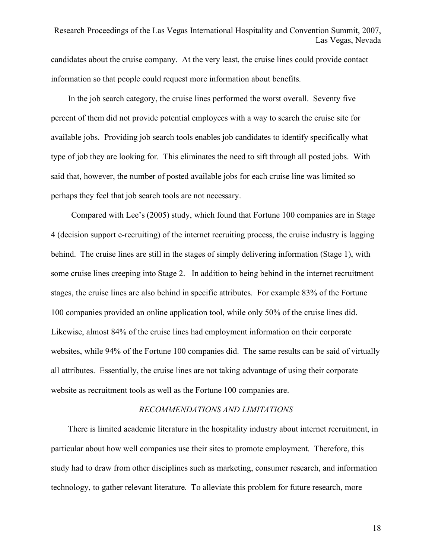candidates about the cruise company. At the very least, the cruise lines could provide contact information so that people could request more information about benefits.

 In the job search category, the cruise lines performed the worst overall. Seventy five percent of them did not provide potential employees with a way to search the cruise site for available jobs. Providing job search tools enables job candidates to identify specifically what type of job they are looking for. This eliminates the need to sift through all posted jobs. With said that, however, the number of posted available jobs for each cruise line was limited so perhaps they feel that job search tools are not necessary.

Compared with Lee's (2005) study, which found that Fortune 100 companies are in Stage 4 (decision support e-recruiting) of the internet recruiting process, the cruise industry is lagging behind. The cruise lines are still in the stages of simply delivering information (Stage 1), with some cruise lines creeping into Stage 2. In addition to being behind in the internet recruitment stages, the cruise lines are also behind in specific attributes. For example 83% of the Fortune 100 companies provided an online application tool, while only 50% of the cruise lines did. Likewise, almost 84% of the cruise lines had employment information on their corporate websites, while 94% of the Fortune 100 companies did. The same results can be said of virtually all attributes. Essentially, the cruise lines are not taking advantage of using their corporate website as recruitment tools as well as the Fortune 100 companies are.

#### *RECOMMENDATIONS AND LIMITATIONS*

 There is limited academic literature in the hospitality industry about internet recruitment, in particular about how well companies use their sites to promote employment. Therefore, this study had to draw from other disciplines such as marketing, consumer research, and information technology, to gather relevant literature. To alleviate this problem for future research, more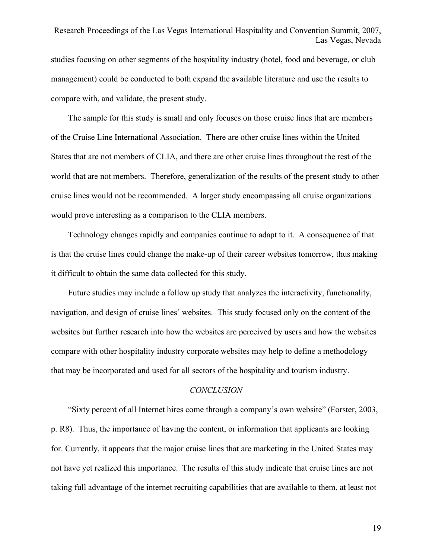studies focusing on other segments of the hospitality industry (hotel, food and beverage, or club management) could be conducted to both expand the available literature and use the results to compare with, and validate, the present study.

 The sample for this study is small and only focuses on those cruise lines that are members of the Cruise Line International Association. There are other cruise lines within the United States that are not members of CLIA, and there are other cruise lines throughout the rest of the world that are not members. Therefore, generalization of the results of the present study to other cruise lines would not be recommended. A larger study encompassing all cruise organizations would prove interesting as a comparison to the CLIA members.

 Technology changes rapidly and companies continue to adapt to it. A consequence of that is that the cruise lines could change the make-up of their career websites tomorrow, thus making it difficult to obtain the same data collected for this study.

 Future studies may include a follow up study that analyzes the interactivity, functionality, navigation, and design of cruise lines' websites. This study focused only on the content of the websites but further research into how the websites are perceived by users and how the websites compare with other hospitality industry corporate websites may help to define a methodology that may be incorporated and used for all sectors of the hospitality and tourism industry.

#### *CONCLUSION*

 "Sixty percent of all Internet hires come through a company's own website" (Forster, 2003, p. R8). Thus, the importance of having the content, or information that applicants are looking for. Currently, it appears that the major cruise lines that are marketing in the United States may not have yet realized this importance. The results of this study indicate that cruise lines are not taking full advantage of the internet recruiting capabilities that are available to them, at least not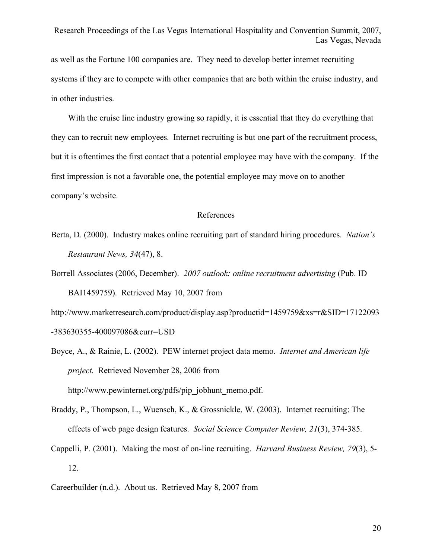as well as the Fortune 100 companies are. They need to develop better internet recruiting systems if they are to compete with other companies that are both within the cruise industry, and in other industries.

With the cruise line industry growing so rapidly, it is essential that they do everything that they can to recruit new employees. Internet recruiting is but one part of the recruitment process, but it is oftentimes the first contact that a potential employee may have with the company. If the first impression is not a favorable one, the potential employee may move on to another company's website.

#### References

- Berta, D. (2000). Industry makes online recruiting part of standard hiring procedures. *Nation's Restaurant News, 34*(47), 8.
- Borrell Associates (2006, December). *2007 outlook: online recruitment advertising* (Pub. ID BAI1459759). Retrieved May 10, 2007 from

http://www.marketresearch.com/product/display.asp?productid=1459759&xs=r&SID=17122093 -383630355-400097086&curr=USD

- Boyce, A., & Rainie, L. (2002). PEW internet project data memo. *Internet and American life project.* Retrieved November 28, 2006 from http://www.pewinternet.org/pdfs/pip\_jobhunt\_memo.pdf.
- Braddy, P., Thompson, L., Wuensch, K., & Grossnickle, W. (2003). Internet recruiting: The effects of web page design features. *Social Science Computer Review, 21*(3), 374-385.
- Cappelli, P. (2001). Making the most of on-line recruiting. *Harvard Business Review, 79*(3), 5- 12.
- Careerbuilder (n.d.). About us. Retrieved May 8, 2007 from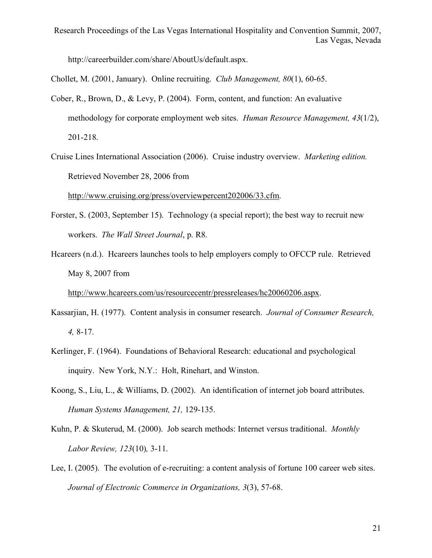http://careerbuilder.com/share/AboutUs/default.aspx.

Chollet, M. (2001, January). Online recruiting. *Club Management, 80*(1), 60-65.

- Cober, R., Brown, D., & Levy, P. (2004). Form, content, and function: An evaluative methodology for corporate employment web sites. *Human Resource Management, 43*(1/2), 201-218.
- Cruise Lines International Association (2006). Cruise industry overview. *Marketing edition.* Retrieved November 28, 2006 from

http://www.cruising.org/press/overviewpercent202006/33.cfm.

- Forster, S. (2003, September 15). Technology (a special report); the best way to recruit new workers. *The Wall Street Journal*, p. R8.
- Hcareers (n.d.). Hcareers launches tools to help employers comply to OFCCP rule. Retrieved May 8, 2007 from

http://www.hcareers.com/us/resourcecentr/pressreleases/hc20060206.aspx.

- Kassarjian, H. (1977). Content analysis in consumer research. *Journal of Consumer Research, 4,* 8-17.
- Kerlinger, F. (1964). Foundations of Behavioral Research: educational and psychological inquiry. New York, N.Y.: Holt, Rinehart, and Winston.
- Koong, S., Liu, L., & Williams, D. (2002). An identification of internet job board attributes.  *Human Systems Management, 21,* 129-135.
- Kuhn, P. & Skuterud, M. (2000). Job search methods: Internet versus traditional. *Monthly Labor Review, 123*(10)*,* 3-11.
- Lee, I. (2005). The evolution of e-recruiting: a content analysis of fortune 100 career web sites.  *Journal of Electronic Commerce in Organizations, 3*(3), 57-68.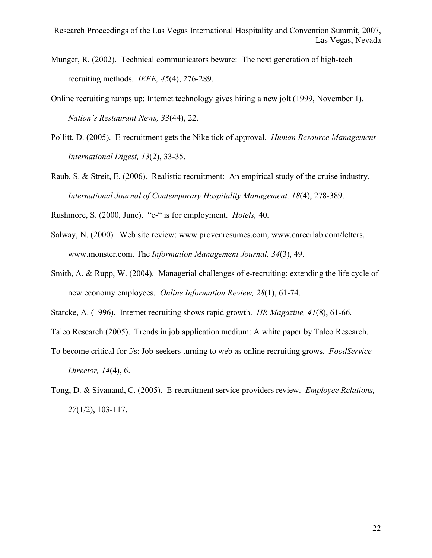- Munger, R. (2002). Technical communicators beware: The next generation of high-tech recruiting methods. *IEEE, 45*(4), 276-289.
- Online recruiting ramps up: Internet technology gives hiring a new jolt (1999, November 1). *Nation's Restaurant News, 33*(44), 22.
- Pollitt, D. (2005). E-recruitment gets the Nike tick of approval. *Human Resource Management International Digest, 13*(2), 33-35.
- Raub, S. & Streit, E. (2006). Realistic recruitment: An empirical study of the cruise industry. *International Journal of Contemporary Hospitality Management, 18*(4), 278-389.

Rushmore, S. (2000, June). "e-" is for employment. *Hotels,* 40.

- Salway, N. (2000). Web site review: www.provenresumes.com, www.careerlab.com/letters, www.monster.com. The *Information Management Journal, 34*(3), 49.
- Smith, A. & Rupp, W. (2004). Managerial challenges of e-recruiting: extending the life cycle of new economy employees. *Online Information Review, 28*(1), 61-74.

Starcke, A. (1996). Internet recruiting shows rapid growth. *HR Magazine, 41*(8), 61-66.

Taleo Research (2005). Trends in job application medium: A white paper by Taleo Research.

- To become critical for f/s: Job-seekers turning to web as online recruiting grows. *FoodService Director, 14*(4), 6.
- Tong, D. & Sivanand, C. (2005). E-recruitment service providers review. *Employee Relations, 27*(1/2), 103-117.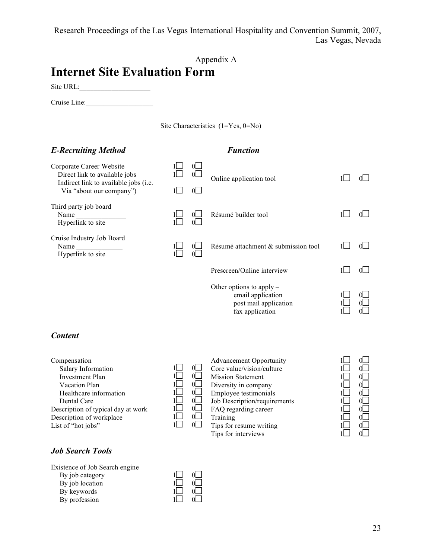## Appendix A

# **Internet Site Evaluation Form**

Site URL:\_\_\_\_\_\_\_\_\_\_\_\_\_\_\_\_\_\_\_\_

Cruise Line:

| Site Characteristics (1=Yes, 0=No) |  |  |
|------------------------------------|--|--|
|                                    |  |  |

## *E-Recruiting Method Function*

| Corporate Career Website<br>Direct link to available jobs<br>Indirect link to available jobs (i.e.<br>Via "about our company") | 0<br>0<br>0               | Online application tool             |  |
|--------------------------------------------------------------------------------------------------------------------------------|---------------------------|-------------------------------------|--|
| Third party job board<br>Name<br>Hyperlink to site                                                                             | $0\Box$<br>0 <sup>1</sup> | Résumé builder tool                 |  |
| Cruise Industry Job Board<br>Name<br>Hyperlink to site                                                                         | $\Omega$<br>$0 \cup$      | Résumé attachment & submission tool |  |
|                                                                                                                                |                           | Prescreen/Online interview          |  |
|                                                                                                                                |                           | Other options to apply $-$          |  |

#### *Content*

Compensation Salary Information Investment Plan Vacation Plan Healthcare information Dental Care Description of typical day at work Description of workplace List of "hot jobs"

#### $1\Box$  $1\Box$  $1\Box$  $1\Box$ 1  $1\Box$  $1$  $1\Box$  $0$  $0$  $0$  $0$  $\sigma$  $0\square$  $0<sub>l</sub>$  $0<sup>1</sup>$

Advancement Opportunity Core value/vision/culture Mission Statement Diversity in company Employee testimonials Job Description/requirements FAQ regarding career Training Tips for resume writing Tips for interviews

email application post mail application fax application



 $1\Box$ 1 1

0 0 0

## *Job Search Tools*

Existence of Job Search engine By job category By job location By keywords By profession

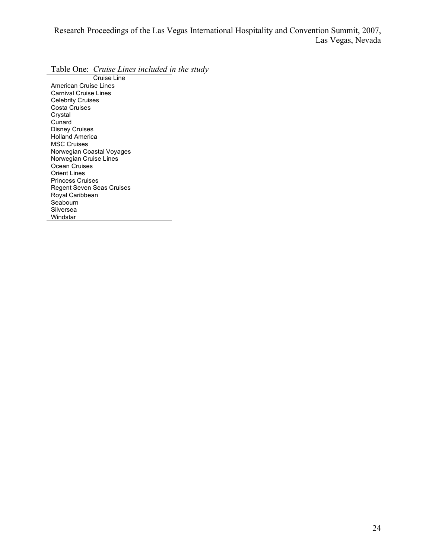Table One: *Cruise Lines included in the study*

Cruise Line American Cruise Lines Carnival Cruise Lines Celebrity Cruises Costa Cruises Crystal **Cunard** Disney Cruises Holland America MSC Cruises Norwegian Coastal Voyages Norwegian Cruise Lines Ocean Cruises Orient Lines Princess Cruises Regent Seven Seas Cruises Royal Caribbean Seabourn Silversea Windstar